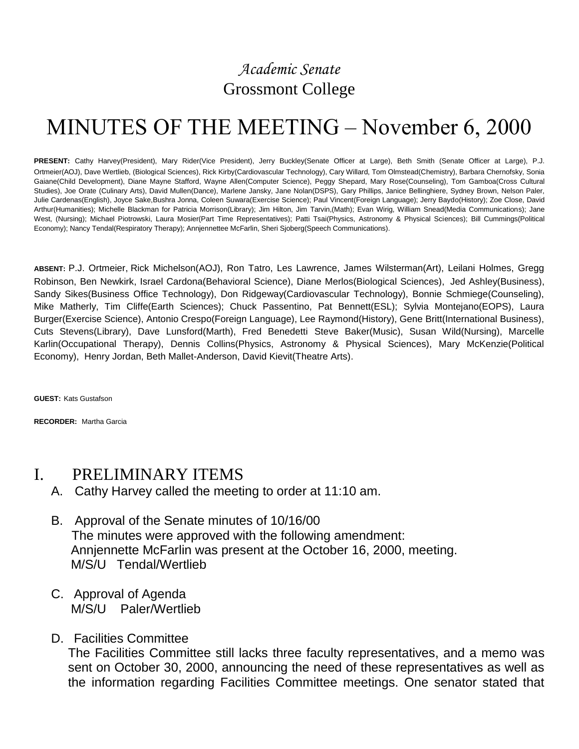# *Academic Senate* Grossmont College

# MINUTES OF THE MEETING – November 6, 2000

**PRESENT:** Cathy Harvey(President), Mary Rider(Vice President), Jerry Buckley(Senate Officer at Large), Beth Smith (Senate Officer at Large), P.J. Ortmeier(AOJ), Dave Wertlieb, (Biological Sciences), Rick Kirby(Cardiovascular Technology), Cary Willard, Tom Olmstead(Chemistry), Barbara Chernofsky, Sonia Gaiane(Child Development), Diane Mayne Stafford, Wayne Allen(Computer Science), Peggy Shepard, Mary Rose(Counseling), Tom Gamboa(Cross Cultural Studies), Joe Orate (Culinary Arts), David Mullen(Dance), Marlene Jansky, Jane Nolan(DSPS), Gary Phillips, Janice Bellinghiere, Sydney Brown, Nelson Paler, Julie Cardenas(English), Joyce Sake,Bushra Jonna, Coleen Suwara(Exercise Science); Paul Vincent(Foreign Language); Jerry Baydo(History); Zoe Close, David Arthur(Humanities); Michelle Blackman for Patricia Morrison(Library); Jim Hilton, Jim Tarvin,(Math); Evan Wirig, William Snead(Media Communications); Jane West, (Nursing); Michael Piotrowski, Laura Mosier(Part Time Representatives); Patti Tsai(Physics, Astronomy & Physical Sciences); Bill Cummings(Political Economy); Nancy Tendal(Respiratory Therapy); Annjennettee McFarlin, Sheri Sjoberg(Speech Communications).

**ABSENT:** P.J. Ortmeier, Rick Michelson(AOJ), Ron Tatro, Les Lawrence, James Wilsterman(Art), Leilani Holmes, Gregg Robinson, Ben Newkirk, Israel Cardona(Behavioral Science), Diane Merlos(Biological Sciences), Jed Ashley(Business), Sandy Sikes(Business Office Technology), Don Ridgeway(Cardiovascular Technology), Bonnie Schmiege(Counseling), Mike Matherly, Tim Cliffe(Earth Sciences); Chuck Passentino, Pat Bennett(ESL); Sylvia Montejano(EOPS), Laura Burger(Exercise Science), Antonio Crespo(Foreign Language), Lee Raymond(History), Gene Britt(International Business), Cuts Stevens(Library), Dave Lunsford(Marth), Fred Benedetti Steve Baker(Music), Susan Wild(Nursing), Marcelle Karlin(Occupational Therapy), Dennis Collins(Physics, Astronomy & Physical Sciences), Mary McKenzie(Political Economy), Henry Jordan, Beth Mallet-Anderson, David Kievit(Theatre Arts).

**GUEST:** Kats Gustafson

**RECORDER:** Martha Garcia

# I. PRELIMINARY ITEMS

- A. Cathy Harvey called the meeting to order at 11:10 am.
- B. Approval of the Senate minutes of 10/16/00 The minutes were approved with the following amendment: Annjennette McFarlin was present at the October 16, 2000, meeting. M/S/U Tendal/Wertlieb
- C. Approval of Agenda M/S/U Paler/Wertlieb
- D. Facilities Committee

The Facilities Committee still lacks three faculty representatives, and a memo was sent on October 30, 2000, announcing the need of these representatives as well as the information regarding Facilities Committee meetings. One senator stated that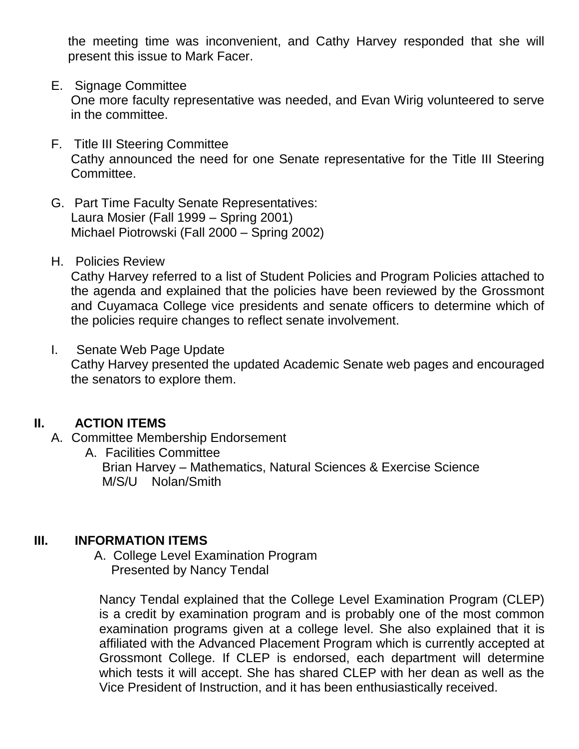the meeting time was inconvenient, and Cathy Harvey responded that she will present this issue to Mark Facer.

#### E. Signage Committee

One more faculty representative was needed, and Evan Wirig volunteered to serve in the committee.

- F. Title III Steering Committee Cathy announced the need for one Senate representative for the Title III Steering Committee.
- G. Part Time Faculty Senate Representatives: Laura Mosier (Fall 1999 – Spring 2001) Michael Piotrowski (Fall 2000 – Spring 2002)
- H. Policies Review

Cathy Harvey referred to a list of Student Policies and Program Policies attached to the agenda and explained that the policies have been reviewed by the Grossmont and Cuyamaca College vice presidents and senate officers to determine which of the policies require changes to reflect senate involvement.

I. Senate Web Page Update Cathy Harvey presented the updated Academic Senate web pages and encouraged the senators to explore them.

# **II. ACTION ITEMS**

- A. Committee Membership Endorsement
	- A. Facilities Committee Brian Harvey – Mathematics, Natural Sciences & Exercise Science M/S/U Nolan/Smith

# **III. INFORMATION ITEMS**

 A. College Level Examination Program Presented by Nancy Tendal

Nancy Tendal explained that the College Level Examination Program (CLEP) is a credit by examination program and is probably one of the most common examination programs given at a college level. She also explained that it is affiliated with the Advanced Placement Program which is currently accepted at Grossmont College. If CLEP is endorsed, each department will determine which tests it will accept. She has shared CLEP with her dean as well as the Vice President of Instruction, and it has been enthusiastically received.